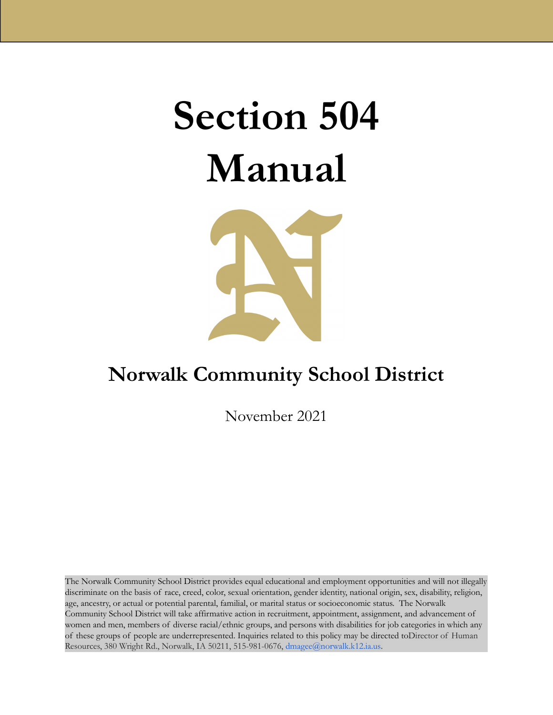# **Section 504 Manual**



# **Norwalk Community School District**

November 2021

The Norwalk Community School District provides equal educational and employment opportunities and will not illegally discriminate on the basis of race, creed, color, sexual orientation, gender identity, national origin, sex, disability, religion, age, ancestry, or actual or potential parental, familial, or marital status or socioeconomic status. The Norwalk Community School District will take affirmative action in recruitment, appointment, assignment, and advancement of women and men, members of diverse racial/ethnic groups, and persons with disabilities for job categories in which any of these groups of people are underrepresented. Inquiries related to this policy may be directed toDirector of Human Resources, 380 Wright Rd., Norwalk, IA 50211, 515-981-0676, dmagee@norwalk.k12.ia.us.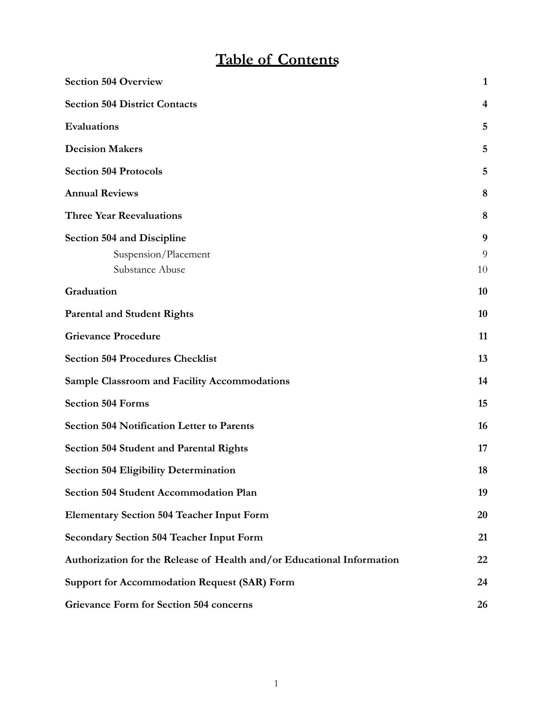# **Table of Contents**

| <b>Section 504 Overview</b>                                            | $\mathbf{1}$ |
|------------------------------------------------------------------------|--------------|
| <b>Section 504 District Contacts</b>                                   | 4            |
| Evaluations                                                            | 5            |
| <b>Decision Makers</b>                                                 | 5            |
| <b>Section 504 Protocols</b>                                           | 5            |
| <b>Annual Reviews</b>                                                  | 8            |
| <b>Three Year Reevaluations</b>                                        | 8            |
| <b>Section 504 and Discipline</b>                                      | 9            |
| Suspension/Placement                                                   | 9            |
| Substance Abuse                                                        | 10           |
| Graduation                                                             | 10           |
| <b>Parental and Student Rights</b>                                     | 10           |
| <b>Grievance Procedure</b>                                             | 11           |
| <b>Section 504 Procedures Checklist</b>                                | 13           |
| <b>Sample Classroom and Facility Accommodations</b>                    | 14           |
| <b>Section 504 Forms</b>                                               | 15           |
| <b>Section 504 Notification Letter to Parents</b>                      | 16           |
| <b>Section 504 Student and Parental Rights</b>                         | 17           |
| <b>Section 504 Eligibility Determination</b>                           | 18           |
| Section 504 Student Accommodation Plan                                 | 19           |
| <b>Elementary Section 504 Teacher Input Form</b>                       | 20           |
| <b>Secondary Section 504 Teacher Input Form</b>                        | 21           |
| Authorization for the Release of Health and/or Educational Information | 22           |
| <b>Support for Accommodation Request (SAR) Form</b>                    | 24           |
| Grievance Form for Section 504 concerns                                | 26           |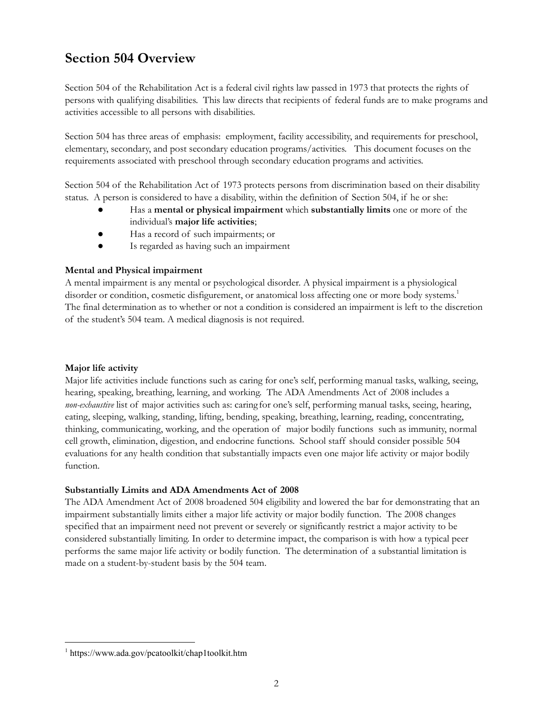# <span id="page-2-0"></span>**Section 504 Overview**

Section 504 of the Rehabilitation Act is a federal civil rights law passed in 1973 that protects the rights of persons with qualifying disabilities. This law directs that recipients of federal funds are to make programs and activities accessible to all persons with disabilities.

Section 504 has three areas of emphasis: employment, facility accessibility, and requirements for preschool, elementary, secondary, and post secondary education programs/activities. This document focuses on the requirements associated with preschool through secondary education programs and activities.

Section 504 of the Rehabilitation Act of 1973 protects persons from discrimination based on their disability status. A person is considered to have a disability, within the definition of Section 504, if he or she:

- Has a **mental or physical impairment** which **substantially limits** one or more of the individual's **major life activities**;
- Has a record of such impairments; or
- Is regarded as having such an impairment

#### **Mental and Physical impairment**

A mental impairment is any mental or psychological disorder. A physical impairment is a physiological disorder or condition, cosmetic disfigurement, or anatomical loss affecting one or more body systems.<sup>1</sup> The final determination as to whether or not a condition is considered an impairment is left to the discretion of the student's 504 team. A medical diagnosis is not required.

#### **Major life activity**

Major life activities include functions such as caring for one's self, performing manual tasks, walking, seeing, hearing, speaking, breathing, learning, and working. The ADA Amendments Act of 2008 includes a *non-exhaustive* list of major activities such as: caring for one's self, performing manual tasks, seeing, hearing, eating, sleeping, walking, standing, lifting, bending, speaking, breathing, learning, reading, concentrating, thinking, communicating, working, and the operation of major bodily functions such as immunity, normal cell growth, elimination, digestion, and endocrine functions. School staff should consider possible 504 evaluations for any health condition that substantially impacts even one major life activity or major bodily function.

#### **Substantially Limits and ADA Amendments Act of 2008**

The ADA Amendment Act of 2008 broadened 504 eligibility and lowered the bar for demonstrating that an impairment substantially limits either a major life activity or major bodily function. The 2008 changes specified that an impairment need not prevent or severely or significantly restrict a major activity to be considered substantially limiting. In order to determine impact, the comparison is with how a typical peer performs the same major life activity or bodily function. The determination of a substantial limitation is made on a student-by-student basis by the 504 team.

<sup>1</sup> https://www.ada.gov/pcatoolkit/chap1toolkit.htm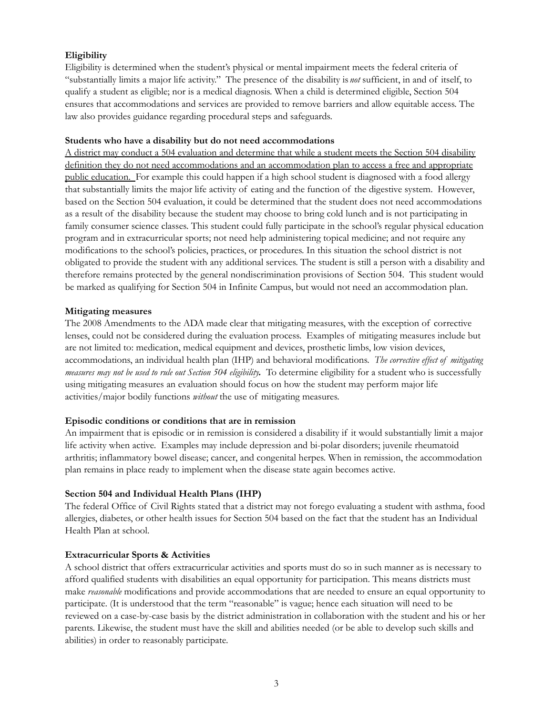### **Eligibility**

Eligibility is determined when the student's physical or mental impairment meets the federal criteria of "substantially limits a major life activity." The presence of the disability is *not* sufficient, in and of itself, to qualify a student as eligible; nor is a medical diagnosis. When a child is determined eligible, Section 504 ensures that accommodations and services are provided to remove barriers and allow equitable access. The law also provides guidance regarding procedural steps and safeguards.

#### **Students who have a disability but do not need accommodations**

A district may conduct a 504 evaluation and determine that while a student meets the Section 504 disability definition they do not need accommodations and an accommodation plan to access a free and appropriate public education. For example this could happen if a high school student is diagnosed with a food allergy that substantially limits the major life activity of eating and the function of the digestive system. However, based on the Section 504 evaluation, it could be determined that the student does not need accommodations as a result of the disability because the student may choose to bring cold lunch and is not participating in family consumer science classes. This student could fully participate in the school's regular physical education program and in extracurricular sports; not need help administering topical medicine; and not require any modifications to the school's policies, practices, or procedures. In this situation the school district is not obligated to provide the student with any additional services. The student is still a person with a disability and therefore remains protected by the general nondiscrimination provisions of Section 504. This student would be marked as qualifying for Section 504 in Infinite Campus, but would not need an accommodation plan.

#### **Mitigating measures**

The 2008 Amendments to the ADA made clear that mitigating measures, with the exception of corrective lenses, could not be considered during the evaluation process. Examples of mitigating measures include but are not limited to: medication, medical equipment and devices, prosthetic limbs, low vision devices, accommodations, an individual health plan (IHP) and behavioral modifications. *The corrective ef ect of mitigating measures may not be used to rule out Section 504 eligibility.* To determine eligibility for a student who is successfully using mitigating measures an evaluation should focus on how the student may perform major life activities/major bodily functions *without* the use of mitigating measures.

#### **Episodic conditions or conditions that are in remission**

An impairment that is episodic or in remission is considered a disability if it would substantially limit a major life activity when active. Examples may include depression and bi-polar disorders; juvenile rheumatoid arthritis; inflammatory bowel disease; cancer, and congenital herpes. When in remission, the accommodation plan remains in place ready to implement when the disease state again becomes active.

#### **Section 504 and Individual Health Plans (IHP)**

The federal Office of Civil Rights stated that a district may not forego evaluating a student with asthma, food allergies, diabetes, or other health issues for Section 504 based on the fact that the student has an Individual Health Plan at school.

#### **Extracurricular Sports & Activities**

A school district that offers extracurricular activities and sports must do so in such manner as is necessary to afford qualified students with disabilities an equal opportunity for participation. This means districts must make *reasonable* modifications and provide accommodations that are needed to ensure an equal opportunity to participate. (It is understood that the term "reasonable" is vague; hence each situation will need to be reviewed on a case-by-case basis by the district administration in collaboration with the student and his or her parents. Likewise, the student must have the skill and abilities needed (or be able to develop such skills and abilities) in order to reasonably participate.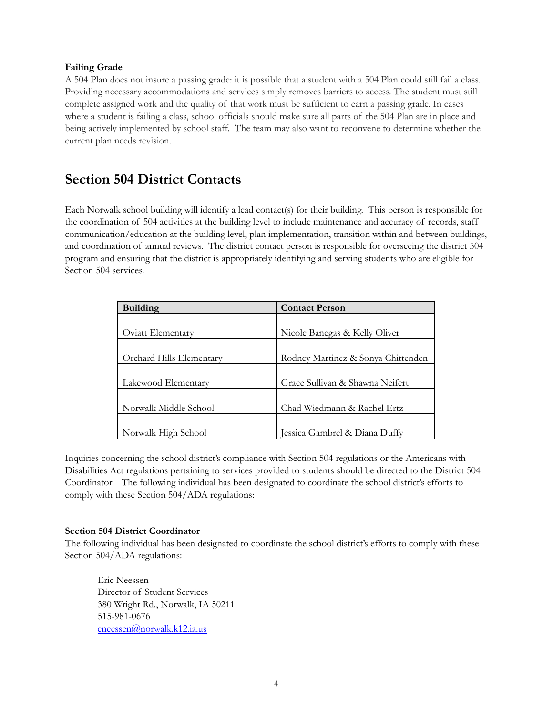#### **Failing Grade**

A 504 Plan does not insure a passing grade: it is possible that a student with a 504 Plan could still fail a class. Providing necessary accommodations and services simply removes barriers to access. The student must still complete assigned work and the quality of that work must be sufficient to earn a passing grade. In cases where a student is failing a class, school officials should make sure all parts of the 504 Plan are in place and being actively implemented by school staff. The team may also want to reconvene to determine whether the current plan needs revision.

# <span id="page-4-0"></span>**Section 504 District Contacts**

Each Norwalk school building will identify a lead contact(s) for their building. This person is responsible for the coordination of 504 activities at the building level to include maintenance and accuracy of records, staff communication/education at the building level, plan implementation, transition within and between buildings, and coordination of annual reviews. The district contact person is responsible for overseeing the district 504 program and ensuring that the district is appropriately identifying and serving students who are eligible for Section 504 services.

| <b>Building</b>          | <b>Contact Person</b>              |  |
|--------------------------|------------------------------------|--|
|                          |                                    |  |
| Oviatt Elementary        | Nicole Banegas & Kelly Oliver      |  |
|                          |                                    |  |
| Orchard Hills Elementary | Rodney Martinez & Sonya Chittenden |  |
|                          |                                    |  |
| Lakewood Elementary      | Grace Sullivan & Shawna Neifert    |  |
|                          |                                    |  |
| Norwalk Middle School    | Chad Wiedmann & Rachel Ertz        |  |
|                          |                                    |  |
| Norwalk High School      | Jessica Gambrel & Diana Duffy      |  |

Inquiries concerning the school district's compliance with Section 504 regulations or the Americans with Disabilities Act regulations pertaining to services provided to students should be directed to the District 504 Coordinator. The following individual has been designated to coordinate the school district's efforts to comply with these Section 504/ADA regulations:

### **Section 504 District Coordinator**

The following individual has been designated to coordinate the school district's efforts to comply with these Section 504/ADA regulations:

Eric Neessen Director of Student Services 380 Wright Rd., Norwalk, IA 50211 515-981-0676 [eneessen@norwalk.k12.ia.us](mailto:eneessen@norwalk.k12.ia.us)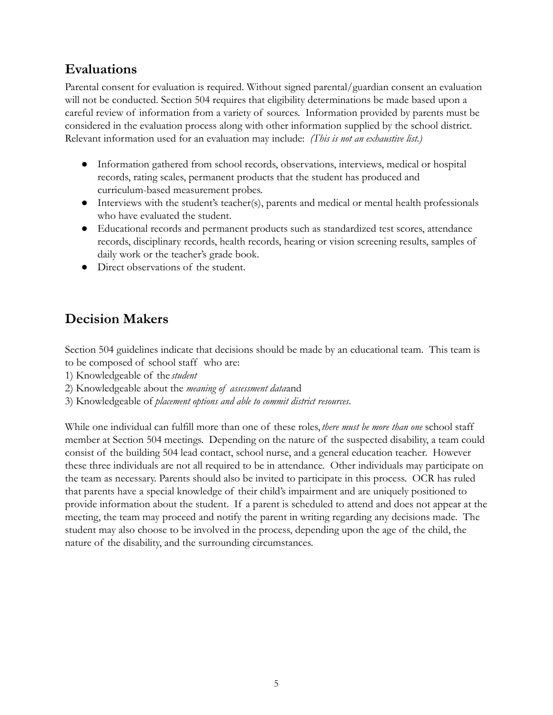# <span id="page-5-0"></span>**Evaluations**

Parental consent for evaluation is required. Without signed parental/guardian consent an evaluation will not be conducted. Section 504 requires that eligibility determinations be made based upon a careful review of information from a variety of sources. Information provided by parents must be considered in the evaluation process along with other information supplied by the school district. Relevant information used for an evaluation may include: *(This is not an exhaustive list.)*

- Information gathered from school records, observations, interviews, medical or hospital records, rating scales, permanent products that the student has produced and curriculum-based measurement probes.
- Interviews with the student's teacher(s), parents and medical or mental health professionals who have evaluated the student.
- Educational records and permanent products such as standardized test scores, attendance records, disciplinary records, health records, hearing or vision screening results, samples of daily work or the teacher's grade book.
- Direct observations of the student.

# <span id="page-5-1"></span>**Decision Makers**

Section 504 guidelines indicate that decisions should be made by an educational team. This team is to be composed of school staff who are:

- 1) Knowledgeable of the *student*
- 2) Knowledgeable about the *meaning of assessment data*and
- 3) Knowledgeable of *placement options and able to commit district resources*.

While one individual can fulfill more than one of these roles,*there must be more than one* school staff member at Section 504 meetings. Depending on the nature of the suspected disability, a team could consist of the building 504 lead contact, school nurse, and a general education teacher. However these three individuals are not all required to be in attendance. Other individuals may participate on the team as necessary. Parents should also be invited to participate in this process. OCR has ruled that parents have a special knowledge of their child's impairment and are uniquely positioned to provide information about the student. If a parent is scheduled to attend and does not appear at the meeting, the team may proceed and notify the parent in writing regarding any decisions made. The student may also choose to be involved in the process, depending upon the age of the child, the nature of the disability, and the surrounding circumstances.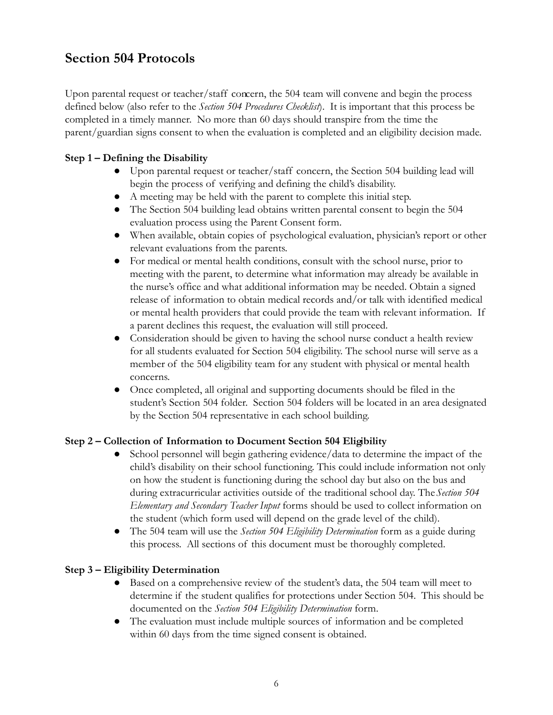# <span id="page-6-0"></span>**Section 504 Protocols**

Upon parental request or teacher/staff concern, the 504 team will convene and begin the process defined below (also refer to the *Section 504 Procedures Checklist*). It is important that this process be completed in a timely manner. No more than 60 days should transpire from the time the parent/guardian signs consent to when the evaluation is completed and an eligibility decision made.

### **Step 1 – Defining the Disability**

- Upon parental request or teacher/staff concern, the Section 504 building lead will begin the process of verifying and defining the child's disability.
- A meeting may be held with the parent to complete this initial step.
- The Section 504 building lead obtains written parental consent to begin the 504 evaluation process using the Parent Consent form.
- When available, obtain copies of psychological evaluation, physician's report or other relevant evaluations from the parents.
- For medical or mental health conditions, consult with the school nurse, prior to meeting with the parent, to determine what information may already be available in the nurse's office and what additional information may be needed. Obtain a signed release of information to obtain medical records and/or talk with identified medical or mental health providers that could provide the team with relevant information. If a parent declines this request, the evaluation will still proceed.
- Consideration should be given to having the school nurse conduct a health review for all students evaluated for Section 504 eligibility. The school nurse will serve as a member of the 504 eligibility team for any student with physical or mental health concerns.
- Once completed, all original and supporting documents should be filed in the student's Section 504 folder. Section 504 folders will be located in an area designated by the Section 504 representative in each school building.

### **Step 2 – Collection of Information to Document Section 504 Eligibility**

- School personnel will begin gathering evidence/data to determine the impact of the child's disability on their school functioning. This could include information not only on how the student is functioning during the school day but also on the bus and during extracurricular activities outside of the traditional school day. The*Section 504 Elementary and Secondary Teacher Input* forms should be used to collect information on the student (which form used will depend on the grade level of the child).
- The 504 team will use the *Section 504 Eligibility Determination* form as a guide during this process. All sections of this document must be thoroughly completed.

### **Step 3 – Eligibility Determination**

- Based on a comprehensive review of the student's data, the 504 team will meet to determine if the student qualifies for protections under Section 504. This should be documented on the *Section 504 Eligibility Determination* form.
- The evaluation must include multiple sources of information and be completed within 60 days from the time signed consent is obtained.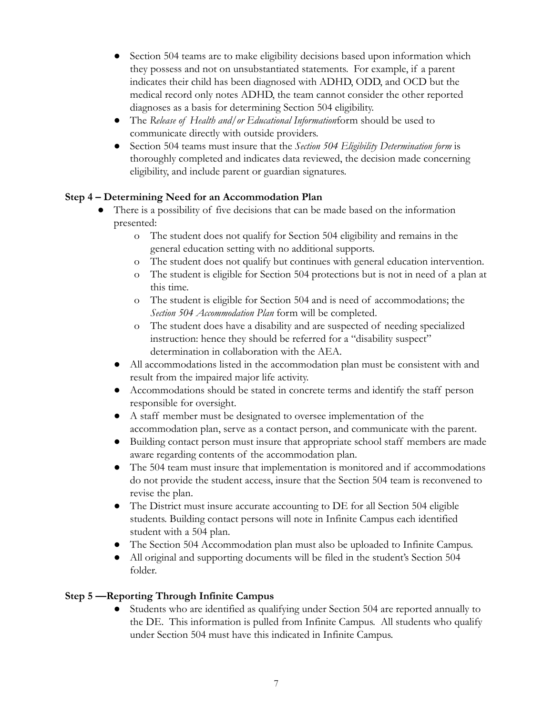- Section 504 teams are to make eligibility decisions based upon information which they possess and not on unsubstantiated statements. For example, if a parent indicates their child has been diagnosed with ADHD, ODD, and OCD but the medical record only notes ADHD, the team cannot consider the other reported diagnoses as a basis for determining Section 504 eligibility.
- The *Release of Health and/or Educational Information*form should be used to communicate directly with outside providers.
- Section 504 teams must insure that the *Section 504 Eligibility Determination form* is thoroughly completed and indicates data reviewed, the decision made concerning eligibility, and include parent or guardian signatures.

### **Step 4 – Determining Need for an Accommodation Plan**

- There is a possibility of five decisions that can be made based on the information presented:
	- o The student does not qualify for Section 504 eligibility and remains in the general education setting with no additional supports.
	- o The student does not qualify but continues with general education intervention.
	- o The student is eligible for Section 504 protections but is not in need of a plan at this time.
	- o The student is eligible for Section 504 and is need of accommodations; the *Section 504 Accommodation Plan* form will be completed.
	- o The student does have a disability and are suspected of needing specialized instruction: hence they should be referred for a "disability suspect" determination in collaboration with the AEA.
	- All accommodations listed in the accommodation plan must be consistent with and result from the impaired major life activity.
	- Accommodations should be stated in concrete terms and identify the staff person responsible for oversight.
	- A staff member must be designated to oversee implementation of the accommodation plan, serve as a contact person, and communicate with the parent.
	- Building contact person must insure that appropriate school staff members are made aware regarding contents of the accommodation plan.
	- The 504 team must insure that implementation is monitored and if accommodations do not provide the student access, insure that the Section 504 team is reconvened to revise the plan.
	- The District must insure accurate accounting to DE for all Section 504 eligible students. Building contact persons will note in Infinite Campus each identified student with a 504 plan.
	- The Section 504 Accommodation plan must also be uploaded to Infinite Campus.
	- All original and supporting documents will be filed in the student's Section 504 folder.

### **Step 5 —Reporting Through Infinite Campus**

● Students who are identified as qualifying under Section 504 are reported annually to the DE. This information is pulled from Infinite Campus. All students who qualify under Section 504 must have this indicated in Infinite Campus.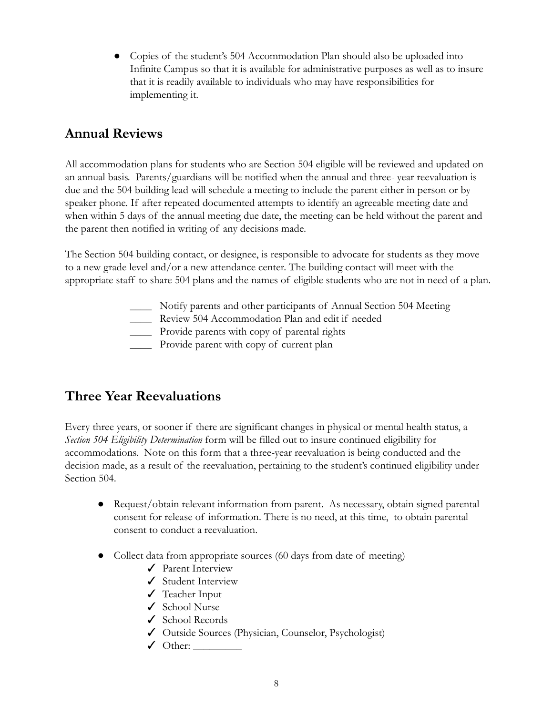• Copies of the student's 504 Accommodation Plan should also be uploaded into Infinite Campus so that it is available for administrative purposes as well as to insure that it is readily available to individuals who may have responsibilities for implementing it.

# <span id="page-8-0"></span>**Annual Reviews**

All accommodation plans for students who are Section 504 eligible will be reviewed and updated on an annual basis. Parents/guardians will be notified when the annual and three- year reevaluation is due and the 504 building lead will schedule a meeting to include the parent either in person or by speaker phone. If after repeated documented attempts to identify an agreeable meeting date and when within 5 days of the annual meeting due date, the meeting can be held without the parent and the parent then notified in writing of any decisions made.

The Section 504 building contact, or designee, is responsible to advocate for students as they move to a new grade level and/or a new attendance center. The building contact will meet with the appropriate staff to share 504 plans and the names of eligible students who are not in need of a plan.

- \_\_\_\_ Notify parents and other participants of Annual Section 504 Meeting
- \_\_\_\_ Review 504 Accommodation Plan and edit if needed
- \_\_\_\_ Provide parents with copy of parental rights
- \_\_\_\_ Provide parent with copy of current plan

# <span id="page-8-1"></span>**Three Year Reevaluations**

Every three years, or sooner if there are significant changes in physical or mental health status, a *Section 504 Eligibility Determination* form will be filled out to insure continued eligibility for accommodations. Note on this form that a three-year reevaluation is being conducted and the decision made, as a result of the reevaluation, pertaining to the student's continued eligibility under Section 504.

- Request/obtain relevant information from parent. As necessary, obtain signed parental consent for release of information. There is no need, at this time, to obtain parental consent to conduct a reevaluation.
- Collect data from appropriate sources (60 days from date of meeting)
	- ✓ Parent Interview
	- ✓ Student Interview
	- ✓ Teacher Input
	- ✓ School Nurse
	- ✓ School Records
	- ✓ Outside Sources (Physician, Counselor, Psychologist)
	- $\checkmark$  Other: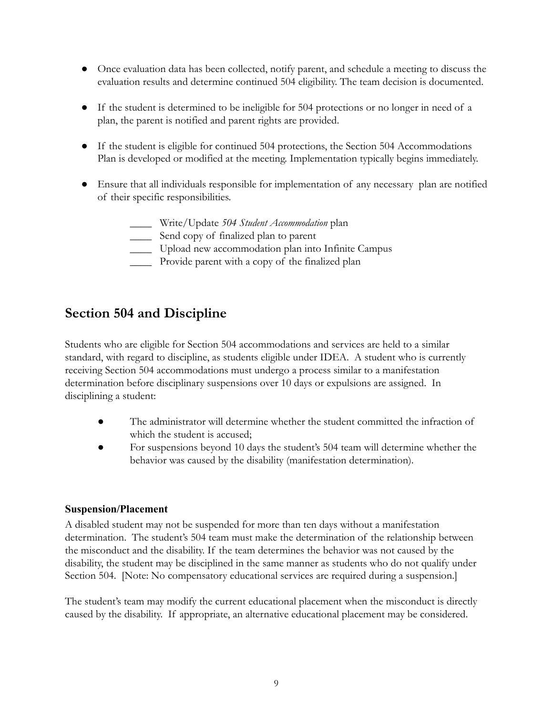- Once evaluation data has been collected, notify parent, and schedule a meeting to discuss the evaluation results and determine continued 504 eligibility. The team decision is documented.
- If the student is determined to be ineligible for 504 protections or no longer in need of a plan, the parent is notified and parent rights are provided.
- If the student is eligible for continued 504 protections, the Section 504 Accommodations Plan is developed or modified at the meeting. Implementation typically begins immediately.
- Ensure that all individuals responsible for implementation of any necessary plan are notified of their specific responsibilities.
	- \_\_\_\_ Write/Update *504 Student Accommodation* plan
	- \_\_\_\_ Send copy of finalized plan to parent
	- \_\_\_\_ Upload new accommodation plan into Infinite Campus
	- \_\_\_\_ Provide parent with a copy of the finalized plan

### <span id="page-9-0"></span>**Section 504 and Discipline**

Students who are eligible for Section 504 accommodations and services are held to a similar standard, with regard to discipline, as students eligible under IDEA. A student who is currently receiving Section 504 accommodations must undergo a process similar to a manifestation determination before disciplinary suspensions over 10 days or expulsions are assigned. In disciplining a student:

- The administrator will determine whether the student committed the infraction of which the student is accused;
- For suspensions beyond 10 days the student's 504 team will determine whether the behavior was caused by the disability (manifestation determination).

### <span id="page-9-1"></span>**Suspension/Placement**

A disabled student may not be suspended for more than ten days without a manifestation determination. The student's 504 team must make the determination of the relationship between the misconduct and the disability. If the team determines the behavior was not caused by the disability, the student may be disciplined in the same manner as students who do not qualify under Section 504. [Note: No compensatory educational services are required during a suspension.]

The student's team may modify the current educational placement when the misconduct is directly caused by the disability. If appropriate, an alternative educational placement may be considered.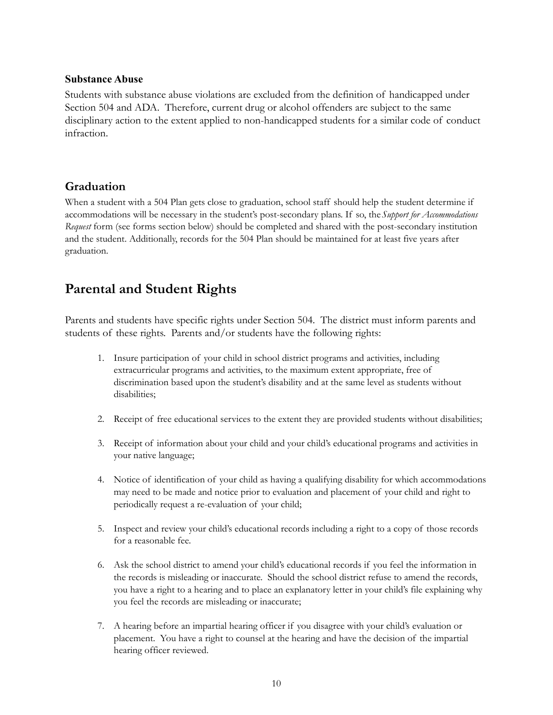#### <span id="page-10-0"></span>**Substance Abuse**

Students with substance abuse violations are excluded from the definition of handicapped under Section 504 and ADA. Therefore, current drug or alcohol offenders are subject to the same disciplinary action to the extent applied to non-handicapped students for a similar code of conduct infraction.

### <span id="page-10-1"></span>**Graduation**

When a student with a 504 Plan gets close to graduation, school staff should help the student determine if accommodations will be necessary in the student's post-secondary plans. If so, the*Support for Accommodations Request* form (see forms section below) should be completed and shared with the post-secondary institution and the student. Additionally, records for the 504 Plan should be maintained for at least five years after graduation.

# <span id="page-10-2"></span>**Parental and Student Rights**

Parents and students have specific rights under Section 504. The district must inform parents and students of these rights. Parents and/or students have the following rights:

- 1. Insure participation of your child in school district programs and activities, including extracurricular programs and activities, to the maximum extent appropriate, free of discrimination based upon the student's disability and at the same level as students without disabilities;
- 2. Receipt of free educational services to the extent they are provided students without disabilities;
- 3. Receipt of information about your child and your child's educational programs and activities in your native language;
- 4. Notice of identification of your child as having a qualifying disability for which accommodations may need to be made and notice prior to evaluation and placement of your child and right to periodically request a re-evaluation of your child;
- 5. Inspect and review your child's educational records including a right to a copy of those records for a reasonable fee.
- 6. Ask the school district to amend your child's educational records if you feel the information in the records is misleading or inaccurate. Should the school district refuse to amend the records, you have a right to a hearing and to place an explanatory letter in your child's file explaining why you feel the records are misleading or inaccurate;
- 7. A hearing before an impartial hearing officer if you disagree with your child's evaluation or placement. You have a right to counsel at the hearing and have the decision of the impartial hearing officer reviewed.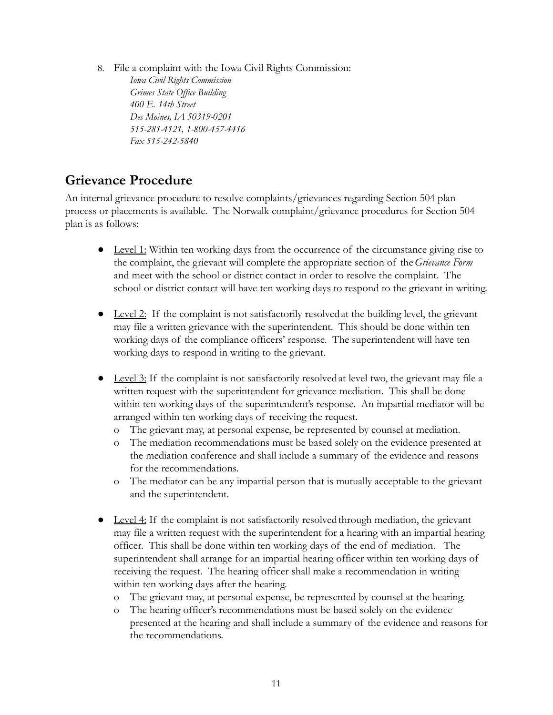8. File a complaint with the Iowa Civil Rights Commission:

*Iowa Civil Rights Commission Grimes State Of ice Building 400 E. 14th Street Des Moines, IA 50319-0201 515-281-4121, 1-800-457-4416 Fax 515-242-5840*

# <span id="page-11-0"></span>**Grievance Procedure**

An internal grievance procedure to resolve complaints/grievances regarding Section 504 plan process or placements is available. The Norwalk complaint/grievance procedures for Section 504 plan is as follows:

- Level 1: Within ten working days from the occurrence of the circumstance giving rise to the complaint, the grievant will complete the appropriate section of the*Grievance Form* and meet with the school or district contact in order to resolve the complaint. The school or district contact will have ten working days to respond to the grievant in writing.
- $\bullet$  Level 2: If the complaint is not satisfactorily resolved at the building level, the grievant may file a written grievance with the superintendent. This should be done within ten working days of the compliance officers' response. The superintendent will have ten working days to respond in writing to the grievant.
- Level 3: If the complaint is not satisfactorily resolvedat level two, the grievant may file a written request with the superintendent for grievance mediation. This shall be done within ten working days of the superintendent's response. An impartial mediator will be arranged within ten working days of receiving the request.
	- o The grievant may, at personal expense, be represented by counsel at mediation.
	- o The mediation recommendations must be based solely on the evidence presented at the mediation conference and shall include a summary of the evidence and reasons for the recommendations.
	- o The mediator can be any impartial person that is mutually acceptable to the grievant and the superintendent.
- $\bullet$  Level 4: If the complaint is not satisfactorily resolved through mediation, the grievant may file a written request with the superintendent for a hearing with an impartial hearing officer. This shall be done within ten working days of the end of mediation. The superintendent shall arrange for an impartial hearing officer within ten working days of receiving the request. The hearing officer shall make a recommendation in writing within ten working days after the hearing.
	- o The grievant may, at personal expense, be represented by counsel at the hearing.
	- o The hearing officer's recommendations must be based solely on the evidence presented at the hearing and shall include a summary of the evidence and reasons for the recommendations.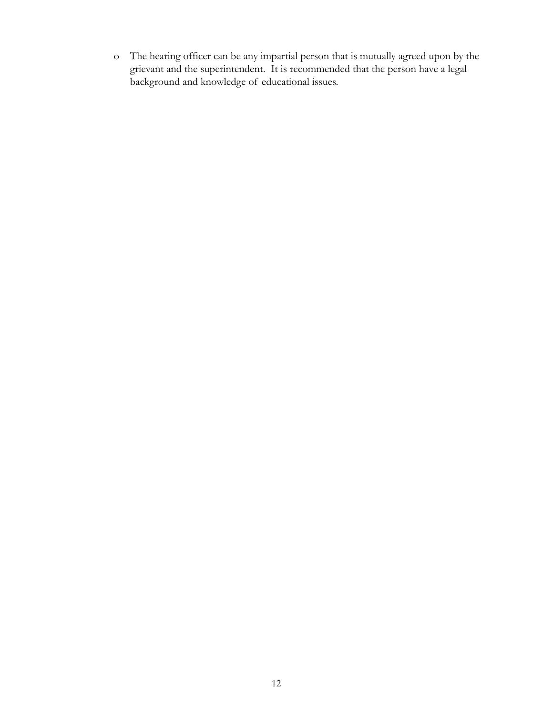o The hearing officer can be any impartial person that is mutually agreed upon by the grievant and the superintendent. It is recommended that the person have a legal background and knowledge of educational issues.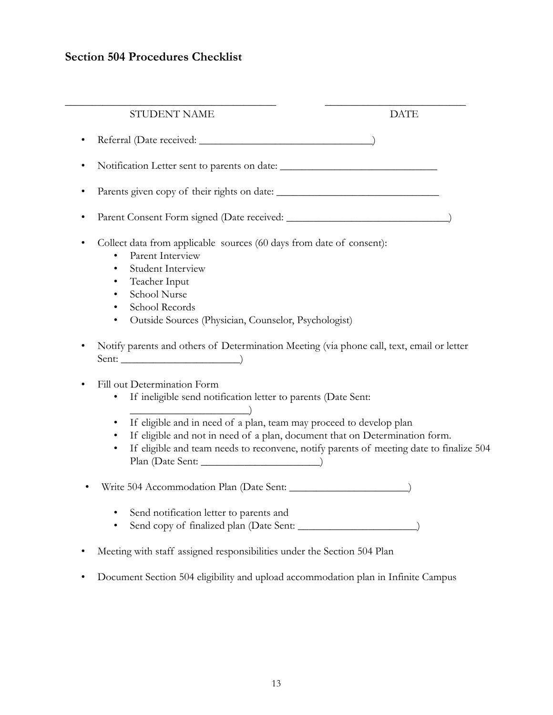## <span id="page-13-0"></span>**Section 504 Procedures Checklist**

| STUDENT NAME                                                                                                                                                                                     | <b>DATE</b> |
|--------------------------------------------------------------------------------------------------------------------------------------------------------------------------------------------------|-------------|
|                                                                                                                                                                                                  |             |
|                                                                                                                                                                                                  |             |
| ٠                                                                                                                                                                                                |             |
|                                                                                                                                                                                                  |             |
| Collect data from applicable sources (60 days from date of consent):<br>Parent Interview                                                                                                         |             |
| <b>Student Interview</b><br>Teacher Input                                                                                                                                                        |             |
| School Nurse                                                                                                                                                                                     |             |
| School Records<br>Outside Sources (Physician, Counselor, Psychologist)                                                                                                                           |             |
| Notify parents and others of Determination Meeting (via phone call, text, email or letter                                                                                                        |             |
| Sent:                                                                                                                                                                                            |             |
| Fill out Determination Form                                                                                                                                                                      |             |
| If ineligible send notification letter to parents (Date Sent:                                                                                                                                    |             |
| If eligible and in need of a plan, team may proceed to develop plan                                                                                                                              |             |
| If eligible and not in need of a plan, document that on Determination form.<br>$\bullet$<br>If eligible and team needs to reconvene, notify parents of meeting date to finalize 504<br>$\bullet$ |             |
|                                                                                                                                                                                                  |             |
|                                                                                                                                                                                                  |             |
| Send notification letter to parents and                                                                                                                                                          |             |

- Send copy of finalized plan (Date Sent: \_\_\_\_\_\_\_\_\_\_\_\_\_\_\_\_\_\_\_\_\_\_)
- Meeting with staff assigned responsibilities under the Section 504 Plan
- Document Section 504 eligibility and upload accommodation plan in Infinite Campus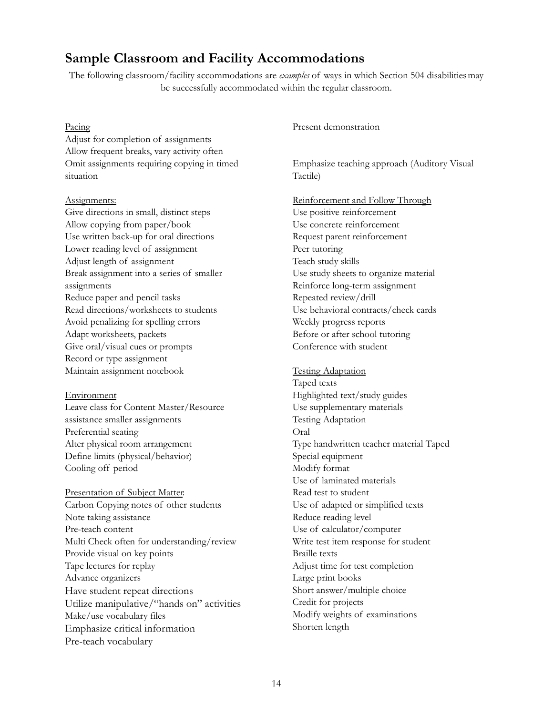### <span id="page-14-0"></span>**Sample Classroom and Facility Accommodations**

The following classroom/facility accommodations are *examples* of ways in which Section 504 disabilitiesmay be successfully accommodated within the regular classroom.

#### Pacing

Adjust for completion of assignments Allow frequent breaks, vary activity often Omit assignments requiring copying in timed situation

#### Assignments:

Give directions in small, distinct steps Allow copying from paper/book Use written back-up for oral directions Lower reading level of assignment Adjust length of assignment Break assignment into a series of smaller assignments Reduce paper and pencil tasks Read directions/worksheets to students Avoid penalizing for spelling errors Adapt worksheets, packets Give oral/visual cues or prompts Record or type assignment Maintain assignment notebook

#### Environment

Leave class for Content Master/Resource assistance smaller assignments Preferential seating Alter physical room arrangement Define limits (physical/behavior) Cooling off period

Presentation of Subject Matter: Carbon Copying notes of other students Note taking assistance Pre-teach content Multi Check often for understanding/review Provide visual on key points Tape lectures for replay Advance organizers Have student repeat directions Utilize manipulative/"hands on" activities Make/use vocabulary files Emphasize critical information Pre-teach vocabulary

Present demonstration

Emphasize teaching approach (Auditory Visual Tactile)

Reinforcement and Follow Through Use positive reinforcement Use concrete reinforcement Request parent reinforcement Peer tutoring Teach study skills Use study sheets to organize material Reinforce long-term assignment Repeated review/drill Use behavioral contracts/check cards Weekly progress reports Before or after school tutoring Conference with student

Testing Adaptation Taped texts Highlighted text/study guides Use supplementary materials Testing Adaptation Oral Type handwritten teacher material Taped Special equipment Modify format Use of laminated materials Read test to student Use of adapted or simplified texts Reduce reading level Use of calculator/computer Write test item response for student Braille texts Adjust time for test completion Large print books Short answer/multiple choice Credit for projects Modify weights of examinations Shorten length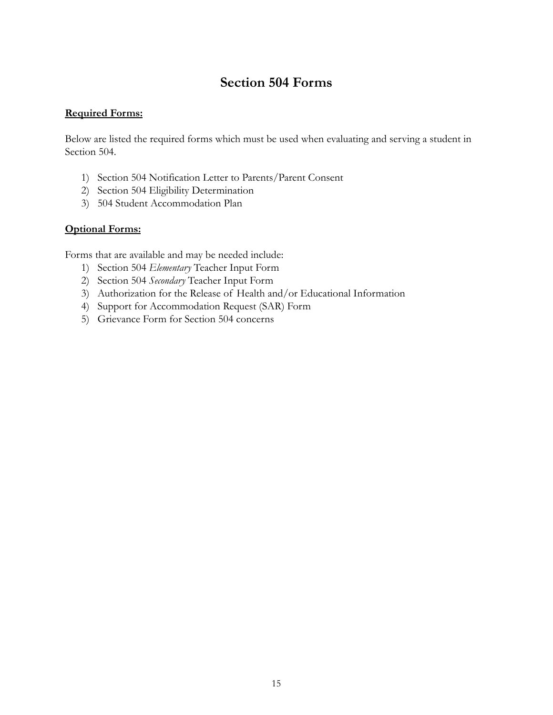# **Section 504 Forms**

### <span id="page-15-0"></span>**Required Forms:**

Below are listed the required forms which must be used when evaluating and serving a student in Section 504.

- 1) Section 504 Notification Letter to Parents/Parent Consent
- 2) Section 504 Eligibility Determination
- 3) 504 Student Accommodation Plan

### **Optional Forms:**

Forms that are available and may be needed include:

- 1) Section 504 *Elementary* Teacher Input Form
- 2) Section 504 *Secondary* Teacher Input Form
- 3) Authorization for the Release of Health and/or Educational Information
- 4) Support for Accommodation Request (SAR) Form
- 5) Grievance Form for Section 504 concerns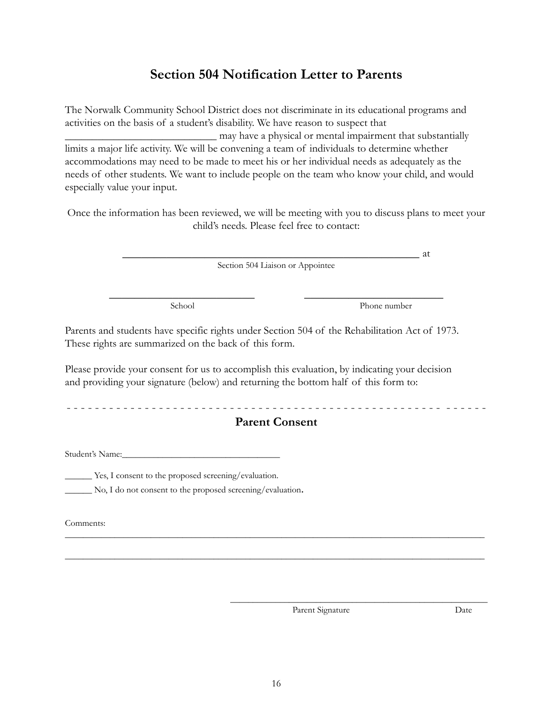# **Section 504 Notification Letter to Parents**

<span id="page-16-0"></span>The Norwalk Community School District does not discriminate in its educational programs and activities on the basis of a student's disability. We have reason to suspect that \_\_\_\_\_\_\_\_\_\_\_\_\_\_\_\_\_\_\_\_\_\_\_\_\_\_\_\_ may have a physical or mental impairment that substantially limits a major life activity. We will be convening a team of individuals to determine whether accommodations may need to be made to meet his or her individual needs as adequately as the needs of other students. We want to include people on the team who know your child, and would especially value your input.

Once the information has been reviewed, we will be meeting with you to discuss plans to meet your child's needs. Please feel free to contact:

> \_\_\_\_\_\_\_\_\_\_\_\_\_\_\_\_\_\_\_\_\_\_\_\_\_\_\_\_\_\_\_\_\_\_\_\_\_\_\_\_\_\_\_\_\_\_\_ at Section 504 Liaison or Appointee

\_\_\_\_\_\_\_\_\_\_\_\_\_\_\_\_\_\_\_\_\_\_\_ \_\_\_\_\_\_\_\_\_\_\_\_\_\_\_\_\_\_\_\_\_\_

School Phone number

Parents and students have specific rights under Section 504 of the Rehabilitation Act of 1973. These rights are summarized on the back of this form.

Please provide your consent for us to accomplish this evaluation, by indicating your decision and providing your signature (below) and returning the bottom half of this form to:

- - - - - - - - - - - - - - - - - - - - - - - - - - - - - - - - - - - - - - - - - - - - - - - - - - - - - - - - - - -

### **Parent Consent**

\_\_\_\_\_\_\_\_\_\_\_\_\_\_\_\_\_\_\_\_\_\_\_\_\_\_\_\_\_\_\_\_\_\_\_\_\_\_\_\_\_\_\_\_\_\_\_\_\_\_\_\_\_\_\_\_\_\_\_\_\_\_\_\_\_\_\_\_\_\_\_\_\_\_\_\_\_\_\_\_\_\_\_\_\_\_\_\_\_\_\_\_\_

\_\_\_\_\_\_\_\_\_\_\_\_\_\_\_\_\_\_\_\_\_\_\_\_\_\_\_\_\_\_\_\_\_\_\_\_\_\_\_\_\_\_\_\_\_\_\_\_\_\_\_\_\_\_\_\_\_\_\_\_\_\_\_\_\_\_\_\_\_\_\_\_\_\_\_\_\_\_\_\_\_\_\_\_\_\_\_\_\_\_\_\_\_

Student's Name:

\_\_\_\_\_\_ Yes, I consent to the proposed screening/evaluation.

\_\_\_\_\_\_ No, I do not consent to the proposed screening/evaluation.

Comments:

Parent Signature Date

\_\_\_\_\_\_\_\_\_\_\_\_\_\_\_\_\_\_\_\_\_\_\_\_\_\_\_\_\_\_\_\_\_\_\_\_\_\_\_\_\_\_\_\_\_\_\_\_\_\_\_\_\_\_\_\_\_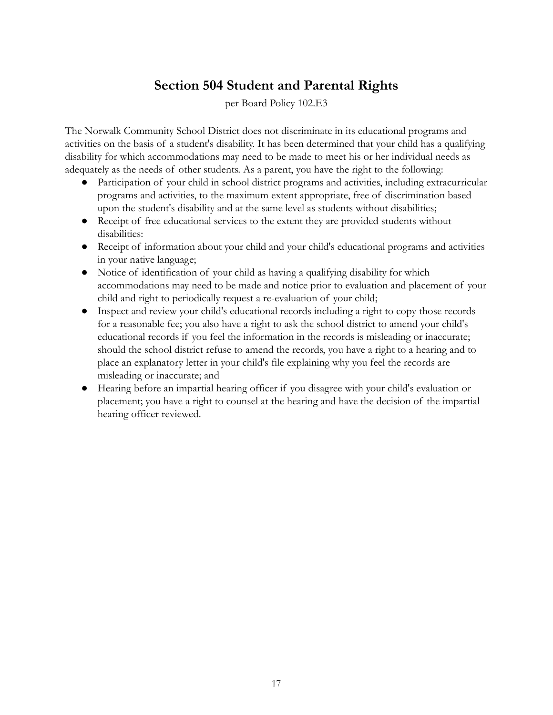# **Section 504 Student and Parental Rights**

per Board Policy 102.E3

<span id="page-17-0"></span>The Norwalk Community School District does not discriminate in its educational programs and activities on the basis of a student's disability. It has been determined that your child has a qualifying disability for which accommodations may need to be made to meet his or her individual needs as adequately as the needs of other students. As a parent, you have the right to the following:

- Participation of your child in school district programs and activities, including extracurricular programs and activities, to the maximum extent appropriate, free of discrimination based upon the student's disability and at the same level as students without disabilities;
- Receipt of free educational services to the extent they are provided students without disabilities:
- Receipt of information about your child and your child's educational programs and activities in your native language;
- Notice of identification of your child as having a qualifying disability for which accommodations may need to be made and notice prior to evaluation and placement of your child and right to periodically request a re-evaluation of your child;
- Inspect and review your child's educational records including a right to copy those records for a reasonable fee; you also have a right to ask the school district to amend your child's educational records if you feel the information in the records is misleading or inaccurate; should the school district refuse to amend the records, you have a right to a hearing and to place an explanatory letter in your child's file explaining why you feel the records are misleading or inaccurate; and
- Hearing before an impartial hearing officer if you disagree with your child's evaluation or placement; you have a right to counsel at the hearing and have the decision of the impartial hearing officer reviewed.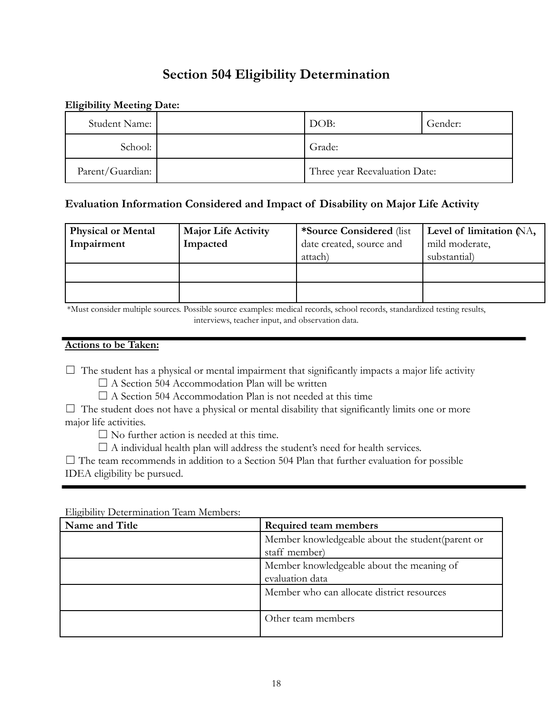# **Section 504 Eligibility Determination**

### <span id="page-18-0"></span>**Eligibility Meeting Date:**

| Student Name:    | DOB:                          | Gender: |
|------------------|-------------------------------|---------|
| School:          | Grade:                        |         |
| Parent/Guardian: | Three year Reevaluation Date: |         |

### **Evaluation Information Considered and Impact of Disability on Major Life Activity**

| <b>Physical or Mental</b><br>Impairment | <b>Major Life Activity</b><br>Impacted | *Source Considered (list)<br>date created, source and<br>attach) | Level of limitation (NA,<br>mild moderate,<br>substantial) |
|-----------------------------------------|----------------------------------------|------------------------------------------------------------------|------------------------------------------------------------|
|                                         |                                        |                                                                  |                                                            |
|                                         |                                        |                                                                  |                                                            |

\*Must consider multiple sources. Possible source examples: medical records, school records, standardized testing results, interviews, teacher input, and observation data.

### **Actions to be Taken:**

 $\Box$  The student has a physical or mental impairment that significantly impacts a major life activity

 $\Box$  A Section 504 Accommodation Plan will be written

 $\Box$  A Section 504 Accommodation Plan is not needed at this time

 $\Box$  The student does not have a physical or mental disability that significantly limits one or more major life activities.

 $\square$  No further action is needed at this time.

 $\Box$  A individual health plan will address the student's need for health services.

 $\Box$  The team recommends in addition to a Section 504 Plan that further evaluation for possible IDEA eligibility be pursued.

| Name and Title | Required team members                             |  |
|----------------|---------------------------------------------------|--|
|                | Member knowledgeable about the student (parent or |  |
|                | staff member)                                     |  |
|                | Member knowledgeable about the meaning of         |  |
|                | evaluation data                                   |  |
|                | Member who can allocate district resources        |  |
|                |                                                   |  |
|                | Other team members                                |  |
|                |                                                   |  |

Eligibility Determination Team Members: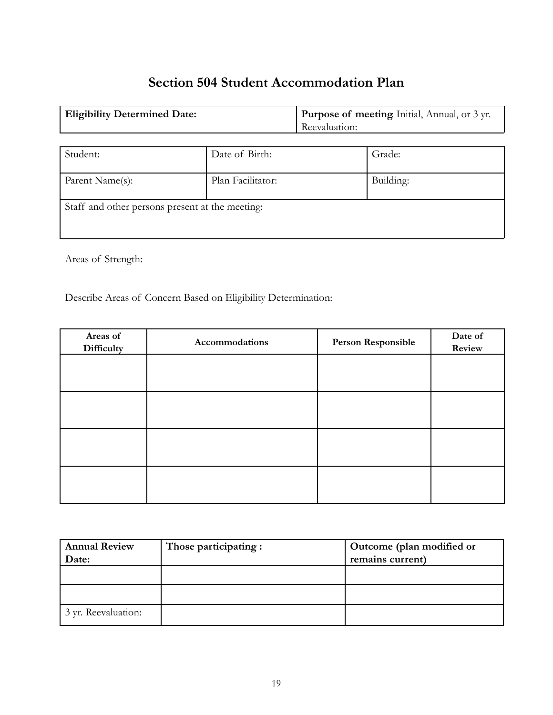# **Section 504 Student Accommodation Plan**

<span id="page-19-0"></span>

| <b>Eligibility Determined Date:</b> | <b>Purpose of meeting Initial, Annual, or 3 yr.</b> |  |
|-------------------------------------|-----------------------------------------------------|--|
|                                     | Reevaluation:                                       |  |

| Student:                                        | Date of Birth:    | Grade:    |
|-------------------------------------------------|-------------------|-----------|
| Parent Name(s):                                 | Plan Facilitator: | Building: |
| Staff and other persons present at the meeting: |                   |           |

Areas of Strength:

Describe Areas of Concern Based on Eligibility Determination:

| Areas of<br>Difficulty | Accommodations | Person Responsible | Date of<br>Review |
|------------------------|----------------|--------------------|-------------------|
|                        |                |                    |                   |
|                        |                |                    |                   |
|                        |                |                    |                   |
|                        |                |                    |                   |
|                        |                |                    |                   |

| <b>Annual Review</b> | Those participating : | Outcome (plan modified or |
|----------------------|-----------------------|---------------------------|
| Date:                |                       | remains current)          |
|                      |                       |                           |
|                      |                       |                           |
|                      |                       |                           |
| 3 yr. Reevaluation:  |                       |                           |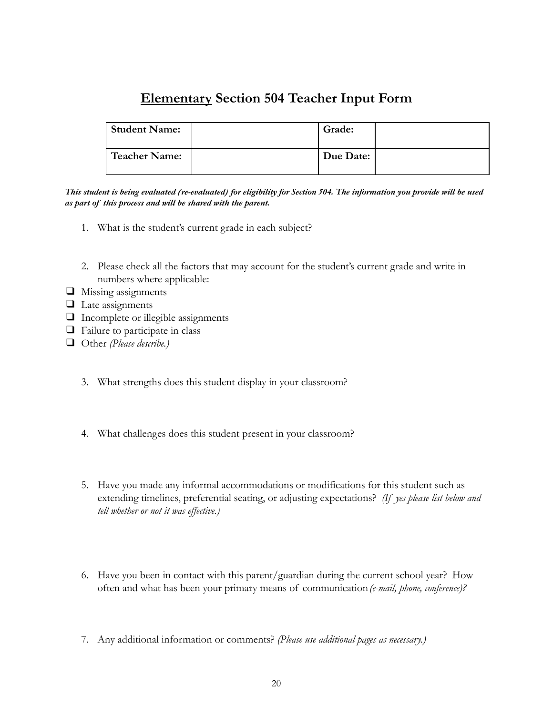# **Elementary Section 504 Teacher Input Form**

<span id="page-20-0"></span>

| Student Name: | Grade:    |  |
|---------------|-----------|--|
| Teacher Name: | Due Date: |  |

This student is being evaluated (re-evaluated) for eligibility for Section 504. The information you provide will be used *as part of this process and will be shared with the parent.*

- 1. What is the student's current grade in each subject?
- 2. Please check all the factors that may account for the student's current grade and write in numbers where applicable:
- ❑ Missing assignments
- ❑ Late assignments
- ❑ Incomplete or illegible assignments
- ❑ Failure to participate in class
- ❑ Other *(Please describe.)*
	- 3. What strengths does this student display in your classroom?
	- 4. What challenges does this student present in your classroom?
	- 5. Have you made any informal accommodations or modifications for this student such as extending timelines, preferential seating, or adjusting expectations? *(If yes please list below and tell whether or not it was effective.)*
	- 6. Have you been in contact with this parent/guardian during the current school year? How often and what has been your primary means of communication*(e-mail, phone, conference)?*
	- 7. Any additional information or comments? *(Please use additional pages as necessary.)*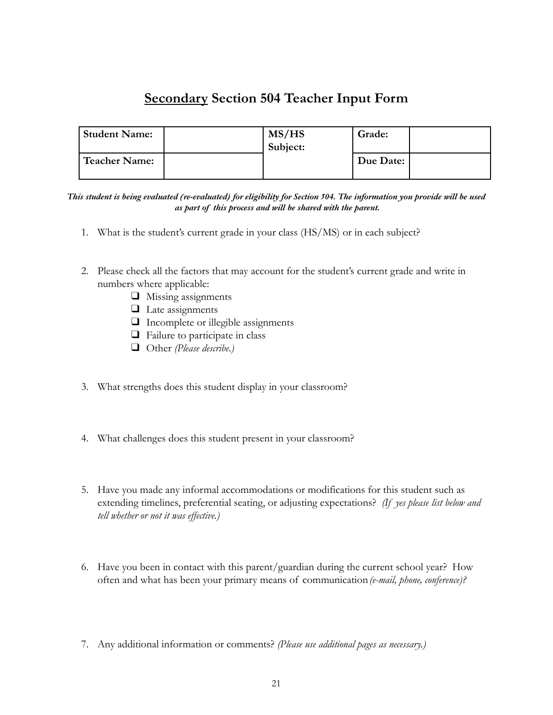# **Secondary Section 504 Teacher Input Form**

<span id="page-21-0"></span>

| <b>Student Name:</b> | MS/HS<br>Subject: | Grade:    |  |
|----------------------|-------------------|-----------|--|
| Teacher Name:        |                   | Due Date: |  |

This student is being evaluated (re-evaluated) for eligibility for Section 504. The information you provide will be used *as part of this process and will be shared with the parent.*

- 1. What is the student's current grade in your class (HS/MS) or in each subject?
- 2. Please check all the factors that may account for the student's current grade and write in numbers where applicable:
	- ❑ Missing assignments
	- ❑ Late assignments
	- ❑ Incomplete or illegible assignments
	- ❑ Failure to participate in class
	- ❑ Other *(Please describe.)*
- 3. What strengths does this student display in your classroom?
- 4. What challenges does this student present in your classroom?
- 5. Have you made any informal accommodations or modifications for this student such as extending timelines, preferential seating, or adjusting expectations? *(If yes please list below and tell whether or not it was effective.)*
- 6. Have you been in contact with this parent/guardian during the current school year? How often and what has been your primary means of communication*(e-mail, phone, conference)?*
- 7. Any additional information or comments? *(Please use additional pages as necessary.)*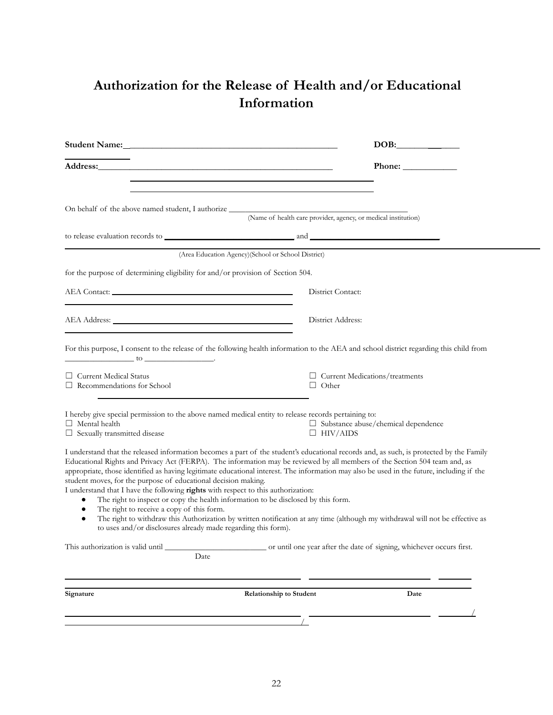# <span id="page-22-0"></span>**Authorization for the Release of Health and/or Educational Information**

|                                                                                                                                                                                                                                                                                                                                                                                                                                                                                                                                                                                                                                                                                                                                                                                                                                                                                                                         | DOB:                                                                                                                              |
|-------------------------------------------------------------------------------------------------------------------------------------------------------------------------------------------------------------------------------------------------------------------------------------------------------------------------------------------------------------------------------------------------------------------------------------------------------------------------------------------------------------------------------------------------------------------------------------------------------------------------------------------------------------------------------------------------------------------------------------------------------------------------------------------------------------------------------------------------------------------------------------------------------------------------|-----------------------------------------------------------------------------------------------------------------------------------|
|                                                                                                                                                                                                                                                                                                                                                                                                                                                                                                                                                                                                                                                                                                                                                                                                                                                                                                                         | Phone: $\sqrt{\frac{2}{1-\frac{1}{2}} \cdot \frac{1}{2-\frac{1}{2}} \cdot \frac{1}{2-\frac{1}{2}} \cdot \frac{1}{2-\frac{1}{2}}}$ |
| On behalf of the above named student, I authorize _______________________________                                                                                                                                                                                                                                                                                                                                                                                                                                                                                                                                                                                                                                                                                                                                                                                                                                       | (Name of health care provider, agency, or medical institution)                                                                    |
| (Area Education Agency)(School or School District)                                                                                                                                                                                                                                                                                                                                                                                                                                                                                                                                                                                                                                                                                                                                                                                                                                                                      |                                                                                                                                   |
| for the purpose of determining eligibility for and/or provision of Section 504.                                                                                                                                                                                                                                                                                                                                                                                                                                                                                                                                                                                                                                                                                                                                                                                                                                         |                                                                                                                                   |
|                                                                                                                                                                                                                                                                                                                                                                                                                                                                                                                                                                                                                                                                                                                                                                                                                                                                                                                         | District Contact:                                                                                                                 |
|                                                                                                                                                                                                                                                                                                                                                                                                                                                                                                                                                                                                                                                                                                                                                                                                                                                                                                                         | District Address:                                                                                                                 |
| For this purpose, I consent to the release of the following health information to the AEA and school district regarding this child from                                                                                                                                                                                                                                                                                                                                                                                                                                                                                                                                                                                                                                                                                                                                                                                 |                                                                                                                                   |
| $\Box$ Current Medical Status<br>$\Box$ Recommendations for School                                                                                                                                                                                                                                                                                                                                                                                                                                                                                                                                                                                                                                                                                                                                                                                                                                                      | $\Box$ Current Medications/treatments<br>$\Box$ Other                                                                             |
| I hereby give special permission to the above named medical entity to release records pertaining to:<br>$\Box$ Mental health<br>$\Box$ Sexually transmitted disease                                                                                                                                                                                                                                                                                                                                                                                                                                                                                                                                                                                                                                                                                                                                                     | $\Box$ Substance abuse/chemical dependence<br>$\Box$ HIV/AIDS                                                                     |
| I understand that the released information becomes a part of the student's educational records and, as such, is protected by the Family<br>Educational Rights and Privacy Act (FERPA). The information may be reviewed by all members of the Section 504 team and, as<br>appropriate, those identified as having legitimate educational interest. The information may also be used in the future, including if the<br>student moves, for the purpose of educational decision making.<br>I understand that I have the following rights with respect to this authorization:<br>The right to inspect or copy the health information to be disclosed by this form.<br>The right to receive a copy of this form.<br>٠<br>The right to withdraw this Authorization by written notification at any time (although my withdrawal will not be effective as<br>٠<br>to uses and/or disclosures already made regarding this form). |                                                                                                                                   |
| Date                                                                                                                                                                                                                                                                                                                                                                                                                                                                                                                                                                                                                                                                                                                                                                                                                                                                                                                    |                                                                                                                                   |
| Signature<br><b>Relationship to Student</b>                                                                                                                                                                                                                                                                                                                                                                                                                                                                                                                                                                                                                                                                                                                                                                                                                                                                             | Date                                                                                                                              |
|                                                                                                                                                                                                                                                                                                                                                                                                                                                                                                                                                                                                                                                                                                                                                                                                                                                                                                                         |                                                                                                                                   |
|                                                                                                                                                                                                                                                                                                                                                                                                                                                                                                                                                                                                                                                                                                                                                                                                                                                                                                                         |                                                                                                                                   |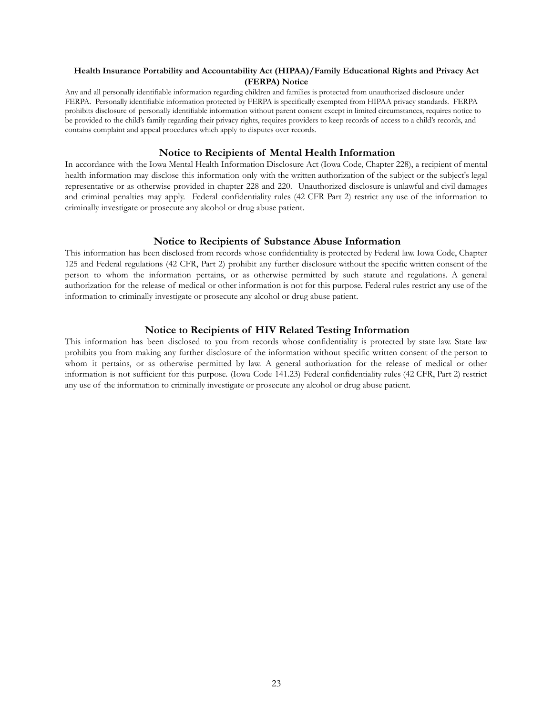#### **Health Insurance Portability and Accountability Act (HIPAA)/Family Educational Rights and Privacy Act (FERPA) Notice**

Any and all personally identifiable information regarding children and families is protected from unauthorized disclosure under FERPA. Personally identifiable information protected by FERPA is specifically exempted from HIPAA privacy standards. FERPA prohibits disclosure of personally identifiable information without parent consent except in limited circumstances, requires notice to be provided to the child's family regarding their privacy rights, requires providers to keep records of access to a child's records, and contains complaint and appeal procedures which apply to disputes over records.

#### **Notice to Recipients of Mental Health Information**

In accordance with the Iowa Mental Health Information Disclosure Act (Iowa Code, Chapter 228), a recipient of mental health information may disclose this information only with the written authorization of the subject or the subject's legal representative or as otherwise provided in chapter 228 and 220. Unauthorized disclosure is unlawful and civil damages and criminal penalties may apply. Federal confidentiality rules (42 CFR Part 2) restrict any use of the information to criminally investigate or prosecute any alcohol or drug abuse patient.

#### **Notice to Recipients of Substance Abuse Information**

This information has been disclosed from records whose confidentiality is protected by Federal law. Iowa Code, Chapter 125 and Federal regulations (42 CFR, Part 2) prohibit any further disclosure without the specific written consent of the person to whom the information pertains, or as otherwise permitted by such statute and regulations. A general authorization for the release of medical or other information is not for this purpose. Federal rules restrict any use of the information to criminally investigate or prosecute any alcohol or drug abuse patient.

#### **Notice to Recipients of HIV Related Testing Information**

This information has been disclosed to you from records whose confidentiality is protected by state law. State law prohibits you from making any further disclosure of the information without specific written consent of the person to whom it pertains, or as otherwise permitted by law. A general authorization for the release of medical or other information is not sufficient for this purpose. (Iowa Code 141.23) Federal confidentiality rules (42 CFR, Part 2) restrict any use of the information to criminally investigate or prosecute any alcohol or drug abuse patient.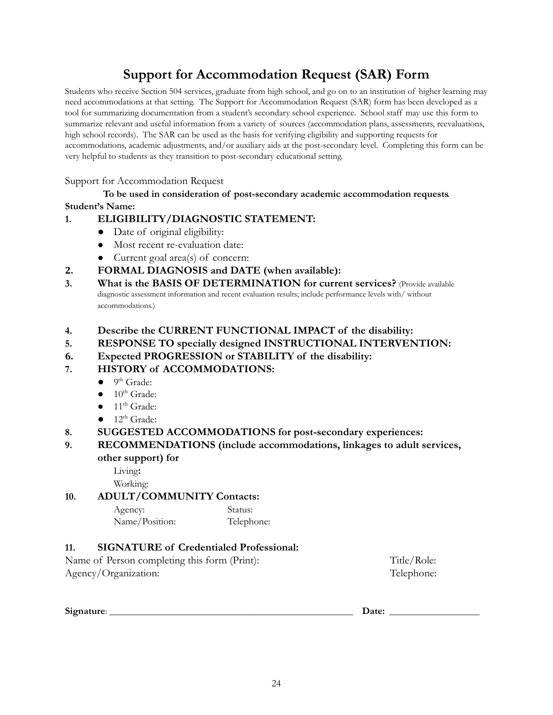# **Support for Accommodation Request (SAR) Form**

<span id="page-24-0"></span>Students who receive Section 504 services, graduate from high school, and go on to an institution of higher learning may need accommodations at that setting. The Support for Accommodation Request (SAR) form has been developed as a tool for summarizing documentation from a student's secondary school experience. School staff may use this form to summarize relevant and useful information from a variety of sources (accommodation plans, assessments, reevaluations, high school records). The SAR can be used as the basis for verifying eligibility and supporting requests for accommodations, academic adjustments, and/or auxiliary aids at the post-secondary level. Completing this form can be very helpful to students as they transition to post-secondary educational setting.

### Support for Accommodation Request

### **To be used in consideration of post-secondary academic accommodation requests**. **Student's Name:**

### **1. ELIGIBILITY/DIAGNOSTIC STATEMENT:**

- Date of original eligibility:
- Most recent re-evaluation date:
- Current goal area(s) of concern:
- **2. FORMAL DIAGNOSIS and DATE (when available):**
- **3. What is the BASIS OF DETERMINATION for current services?** (Provide available diagnostic assessment information and recent evaluation results; include performance levels with/ without accommodations.)
- **4. Describe the CURRENT FUNCTIONAL IMPACT of the disability:**
- **5. RESPONSE TO specially designed INSTRUCTIONAL INTERVENTION:**
- **6. Expected PROGRESSION or STABILITY of the disability:**

### **7. HISTORY of ACCOMMODATIONS:**

- $\bullet$  9<sup>th</sup> Grade:
- $\bullet$  10<sup>th</sup> Grade:
- $\bullet$  11<sup>th</sup> Grade:
- $\bullet$  12<sup>th</sup> Grade:
- **8. SUGGESTED ACCOMMODATIONS for post-secondary experiences:**

### **9. RECOMMENDATIONS (include accommodations, linkages to adult services, other support) for**

Living**:** Working:

### **10. ADULT/COMMUNITY Contacts:**

| Agency:        | Status:    |
|----------------|------------|
| Name/Position: | Telephone: |

### **11. SIGNATURE of Credentialed Professional:**

| Name of Person completing this form (Print): | Title/Role: |
|----------------------------------------------|-------------|
| Agency/Organization:                         | Telephone:  |

**Signature**: \_\_\_\_\_\_\_\_\_\_\_\_\_\_\_\_\_\_\_\_\_\_\_\_\_\_\_\_\_\_\_\_\_\_\_\_\_\_\_\_\_\_\_\_\_\_\_\_\_\_\_\_\_\_ **Date:** \_\_\_\_\_\_\_\_\_\_\_\_\_\_\_\_\_\_\_\_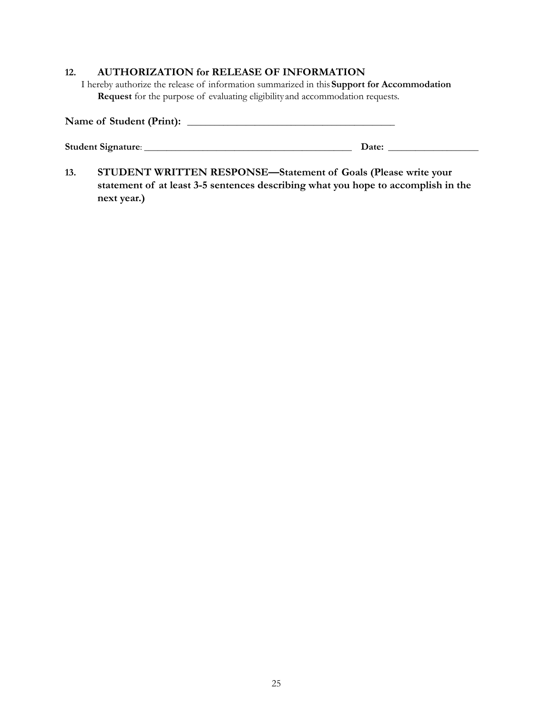#### **12. AUTHORIZATION for RELEASE OF INFORMATION**

I hereby authorize the release of information summarized in this**Support for Accommodation Request** for the purpose of evaluating eligibility and accommodation requests.

| Name of Student (Print): |       |
|--------------------------|-------|
| Student Signature:       | Date: |

**13. STUDENT WRITTEN RESPONSE—Statement of Goals (Please write your statement of at least 3-5 sentences describing what you hope to accomplish in the next year.)**